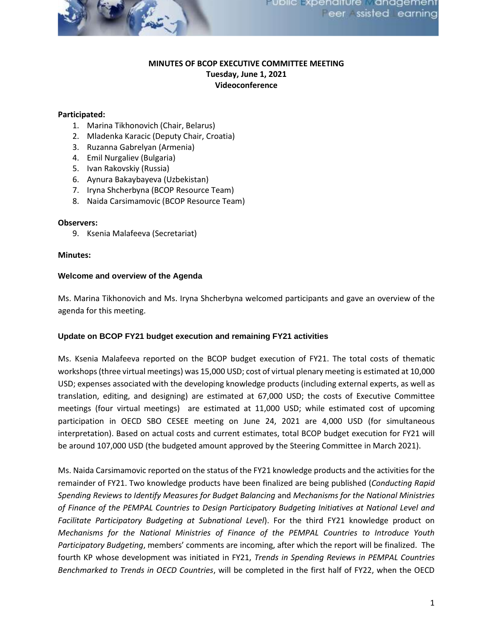

# **MINUTES OF BCOP EXECUTIVE COMMITTEE MEETING Tuesday, June 1, 2021 Videoconference**

## **Participated:**

- 1. Marina Tikhonovich (Chair, Belarus)
- 2. Mladenka Karacic (Deputy Chair, Croatia)
- 3. Ruzanna Gabrelyan (Armenia)
- 4. Emil Nurgaliev (Bulgaria)
- 5. Ivan Rakovskiy (Russia)
- 6. Aynura Bakaybayeva (Uzbekistan)
- 7. Iryna Shcherbyna (BCOP Resource Team)
- 8. Naida Carsimamovic (BCOP Resource Team)

### **Observers:**

9. Ksenia Malafeeva (Secretariat)

### **Minutes:**

### **Welcome and overview of the Agenda**

Ms. Marina Tikhonovich and Ms. Iryna Shcherbyna welcomed participants and gave an overview of the agenda for this meeting.

## **Update on BCOP FY21 budget execution and remaining FY21 activities**

Ms. Ksenia Malafeeva reported on the BCOP budget execution of FY21. The total costs of thematic workshops (three virtual meetings) was 15,000 USD; cost of virtual plenary meeting is estimated at 10,000 USD; expenses associated with the developing knowledge products (including external experts, as well as translation, editing, and designing) are estimated at 67,000 USD; the costs of Executive Committee meetings (four virtual meetings) are estimated at 11,000 USD; while estimated cost of upcoming participation in OECD SBO CESEE meeting on June 24, 2021 are 4,000 USD (for simultaneous interpretation). Based on actual costs and current estimates, total BCOP budget execution for FY21 will be around 107,000 USD (the budgeted amount approved by the Steering Committee in March 2021).

Ms. Naida Carsimamovic reported on the status of the FY21 knowledge products and the activities for the remainder of FY21. Two knowledge products have been finalized are being published (*Conducting Rapid Spending Reviews to Identify Measures for Budget Balancing* and *Mechanisms for the National Ministries of Finance of the PEMPAL Countries to Design Participatory Budgeting Initiatives at National Level and Facilitate Participatory Budgeting at Subnational Level*). For the third FY21 knowledge product on *Mechanisms for the National Ministries of Finance of the PEMPAL Countries to Introduce Youth Participatory Budgeting*, members' comments are incoming, after which the report will be finalized. The fourth KP whose development was initiated in FY21, *Trends in Spending Reviews in PEMPAL Countries Benchmarked to Trends in OECD Countries*, will be completed in the first half of FY22, when the OECD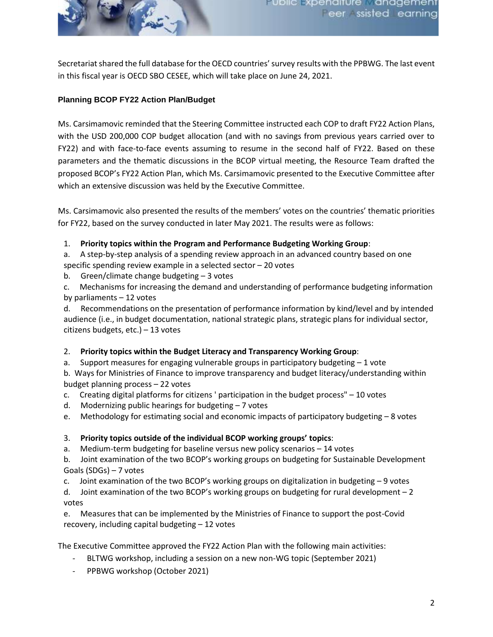

Secretariat shared the full database for the OECD countries' survey results with the PPBWG. The last event in this fiscal year is OECD SBO CESEE, which will take place on June 24, 2021.

# **Planning BCOP FY22 Action Plan/Budget**

Ms. Carsimamovic reminded that the Steering Committee instructed each COP to draft FY22 Action Plans, with the USD 200,000 COP budget allocation (and with no savings from previous years carried over to FY22) and with face-to-face events assuming to resume in the second half of FY22. Based on these parameters and the thematic discussions in the BCOP virtual meeting, the Resource Team drafted the proposed BCOP's FY22 Action Plan, which Ms. Carsimamovic presented to the Executive Committee after which an extensive discussion was held by the Executive Committee.

Ms. Carsimamovic also presented the results of the members' votes on the countries' thematic priorities for FY22, based on the survey conducted in later May 2021. The results were as follows:

- 1. **Priority topics within the Program and Performance Budgeting Working Group**:
- a. A step-by-step analysis of a spending review approach in an advanced country based on one
- specific spending review example in a selected sector 20 votes
- b. Green/climate change budgeting 3 votes
- c. Mechanisms for increasing the demand and understanding of performance budgeting information by parliaments – 12 votes

d. Recommendations on the presentation of performance information by kind/level and by intended audience (i.e., in budget documentation, national strategic plans, strategic plans for individual sector, citizens budgets, etc.) – 13 votes

## 2. **Priority topics within the Budget Literacy and Transparency Working Group**:

a. Support measures for engaging vulnerable groups in participatory budgeting – 1 vote b. Ways for Ministries of Finance to improve transparency and budget literacy/understanding within budget planning process – 22 votes

- c. Creating digital platforms for citizens ' participation in the budget process" 10 votes
- d. Modernizing public hearings for budgeting 7 votes
- e. Methodology for estimating social and economic impacts of participatory budgeting 8 votes

## 3. **Priority topics outside of the individual BCOP working groups' topics**:

a. Medium-term budgeting for baseline versus new policy scenarios – 14 votes

b. Joint examination of the two BCOP's working groups on budgeting for Sustainable Development Goals (SDGs) – 7 votes

c. Joint examination of the two BCOP's working groups on digitalization in budgeting – 9 votes

d. Joint examination of the two BCOP's working groups on budgeting for rural development – 2 votes

e. Measures that can be implemented by the Ministries of Finance to support the post-Covid recovery, including capital budgeting – 12 votes

The Executive Committee approved the FY22 Action Plan with the following main activities:

- BLTWG workshop, including a session on a new non-WG topic (September 2021)
- PPBWG workshop (October 2021)